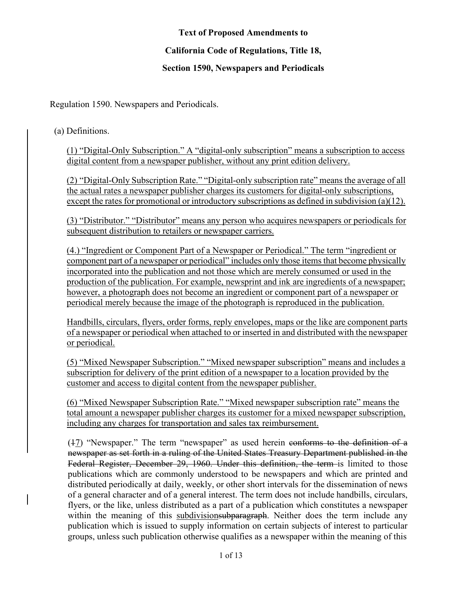## **Text of Proposed Amendments to**

## **California Code of Regulations, Title 18,**

## **Section 1590, Newspapers and Periodicals**

Regulation 1590. Newspapers and Periodicals.

(a) Definitions.

(1) "Digital-Only Subscription." A "digital-only subscription" means a subscription to access digital content from a newspaper publisher, without any print edition delivery.

(2) "Digital-Only Subscription Rate." "Digital-only subscription rate" means the average of all the actual rates a newspaper publisher charges its customers for digital-only subscriptions, except the rates for promotional or introductory subscriptions as defined in subdivision (a)(12).

(3) "Distributor." "Distributor" means any person who acquires newspapers or periodicals for subsequent distribution to retailers or newspaper carriers.

(4.) "Ingredient or Component Part of a Newspaper or Periodical." The term "ingredient or component part of a newspaper or periodical" includes only those items that become physically incorporated into the publication and not those which are merely consumed or used in the production of the publication. For example, newsprint and ink are ingredients of a newspaper; however, a photograph does not become an ingredient or component part of a newspaper or periodical merely because the image of the photograph is reproduced in the publication.

Handbills, circulars, flyers, order forms, reply envelopes, maps or the like are component parts of a newspaper or periodical when attached to or inserted in and distributed with the newspaper or periodical.

(5) "Mixed Newspaper Subscription." "Mixed newspaper subscription" means and includes a subscription for delivery of the print edition of a newspaper to a location provided by the customer and access to digital content from the newspaper publisher.

(6) "Mixed Newspaper Subscription Rate." "Mixed newspaper subscription rate" means the total amount a newspaper publisher charges its customer for a mixed newspaper subscription, including any charges for transportation and sales tax reimbursement.

(17) "Newspaper." The term "newspaper" as used herein conforms to the definition of a newspaper as set forth in a ruling of the United States Treasury Department published in the Federal Register, December 29, 1960. Under this definition, the term is limited to those publications which are commonly understood to be newspapers and which are printed and distributed periodically at daily, weekly, or other short intervals for the dissemination of news of a general character and of a general interest. The term does not include handbills, circulars, flyers, or the like, unless distributed as a part of a publication which constitutes a newspaper within the meaning of this subdivisionsubparagraph. Neither does the term include any publication which is issued to supply information on certain subjects of interest to particular groups, unless such publication otherwise qualifies as a newspaper within the meaning of this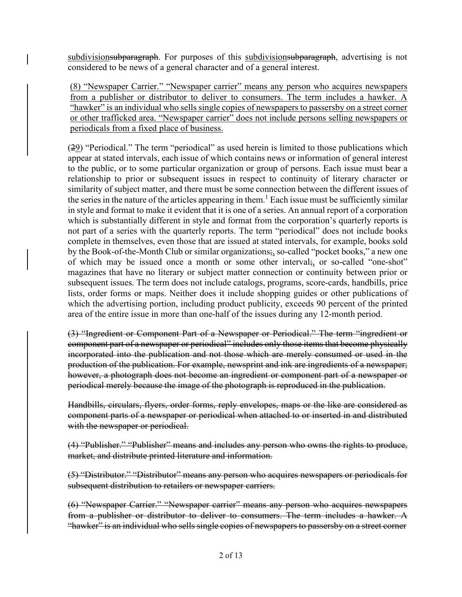subdivisionsubparagraph. For purposes of this subdivisionsubparagraph, advertising is not considered to be news of a general character and of a general interest.

(8) "Newspaper Carrier." "Newspaper carrier" means any person who acquires newspapers from a publisher or distributor to deliver to consumers. The term includes a hawker. A "hawker" is an individual who sells single copies of newspapers to passersby on a street corner or other trafficked area. "Newspaper carrier" does not include persons selling newspapers or periodicals from a fixed place of business.

 $(29)$  "Periodical." The term "periodical" as used herein is limited to those publications which appear at stated intervals, each issue of which contains news or information of general interest to the public, or to some particular organization or group of persons. Each issue must bear a relationship to prior or subsequent issues in respect to continuity of literary character or similarity of subject matter, and there must be some connection between the different issues of the series in the nature of the articles appearing in them.<sup>1</sup> Each issue must be sufficiently similar in style and format to make it evident that it is one of a series. An annual report of a corporation which is substantially different in style and format from the corporation's quarterly reports is not part of a series with the quarterly reports. The term "periodical" does not include books complete in themselves, even those that are issued at stated intervals, for example, books sold by the Book-of-the-Month Club or similar organizations;, so-called "pocket books," a new one of which may be issued once a month or some other interval; or so-called "one-shot" magazines that have no literary or subject matter connection or continuity between prior or subsequent issues. The term does not include catalogs, programs, score-cards, handbills, price lists, order forms or maps. Neither does it include shopping guides or other publications of which the advertising portion, including product publicity, exceeds 90 percent of the printed area of the entire issue in more than one-half of the issues during any 12-month period.

(3) "Ingredient or Component Part of a Newspaper or Periodical." The term "ingredient or component part of a newspaper or periodical" includes only those items that become physically incorporated into the publication and not those which are merely consumed or used in the production of the publication. For example, newsprint and ink are ingredients of a newspaper; however, a photograph does not become an ingredient or component part of a newspaper or periodical merely because the image of the photograph is reproduced in the publication.

Handbills, circulars, flyers, order forms, reply envelopes, maps or the like are considered as component parts of a newspaper or periodical when attached to or inserted in and distributed with the newspaper or periodical.

(4) "Publisher." "Publisher" means and includes any person who owns the rights to produce, market, and distribute printed literature and information.

(5) "Distributor." "Distributor" means any person who acquires newspapers or periodicals for subsequent distribution to retailers or newspaper carriers.

(6) "Newspaper Carrier." "Newspaper carrier" means any person who acquires newspapers from a publisher or distributor to deliver to consumers. The term includes a hawker. A "hawker" is an individual who sells single copies of newspapers to passersby on a street corner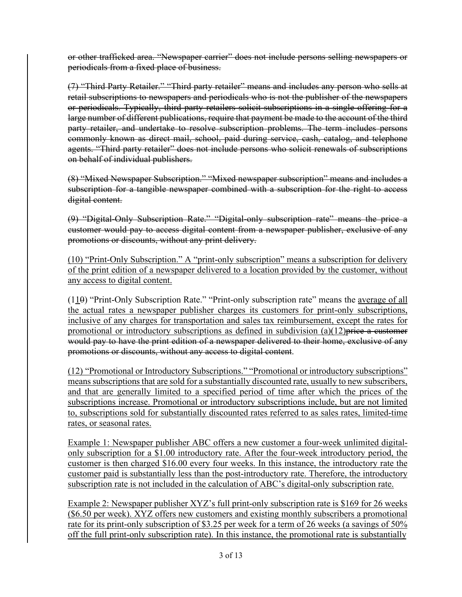or other trafficked area. "Newspaper carrier" does not include persons selling newspapers or periodicals from a fixed place of business.

(7) "Third Party Retailer." "Third party retailer" means and includes any person who sells at retail subscriptions to newspapers and periodicals who is not the publisher of the newspapers or periodicals. Typically, third party retailers solicit subscriptions in a single offering for a large number of different publications, require that payment be made to the account of the third party retailer, and undertake to resolve subscription problems. The term includes persons commonly known as direct mail, school, paid during service, cash, catalog, and telephone agents. "Third party retailer" does not include persons who solicit renewals of subscriptions on behalf of individual publishers.

(8) "Mixed Newspaper Subscription." "Mixed newspaper subscription" means and includes a subscription for a tangible newspaper combined with a subscription for the right to access digital content.

(9) "Digital-Only Subscription Rate." "Digital-only subscription rate" means the price a customer would pay to access digital content from a newspaper publisher, exclusive of any promotions or discounts, without any print delivery.

(10) "Print-Only Subscription." A "print-only subscription" means a subscription for delivery of the print edition of a newspaper delivered to a location provided by the customer, without any access to digital content.

 $(110)$  "Print-Only Subscription Rate." "Print-only subscription rate" means the <u>average of all</u> the actual rates a newspaper publisher charges its customers for print-only subscriptions, inclusive of any charges for transportation and sales tax reimbursement, except the rates for promotional or introductory subscriptions as defined in subdivision  $(a)(12)$  price a customer would pay to have the print edition of a newspaper delivered to their home, exclusive of any promotions or discounts, without any access to digital content.

(12) "Promotional or Introductory Subscriptions." "Promotional or introductory subscriptions" means subscriptions that are sold for a substantially discounted rate, usually to new subscribers, and that are generally limited to a specified period of time after which the prices of the subscriptions increase. Promotional or introductory subscriptions include, but are not limited to, subscriptions sold for substantially discounted rates referred to as sales rates, limited-time rates, or seasonal rates.

Example 1: Newspaper publisher ABC offers a new customer a four-week unlimited digitalonly subscription for a \$1.00 introductory rate. After the four-week introductory period, the customer is then charged \$16.00 every four weeks. In this instance, the introductory rate the customer paid is substantially less than the post-introductory rate. Therefore, the introductory subscription rate is not included in the calculation of ABC's digital-only subscription rate.

Example 2: Newspaper publisher XYZ's full print-only subscription rate is \$169 for 26 weeks (\$6.50 per week). XYZ offers new customers and existing monthly subscribers a promotional rate for its print-only subscription of \$3.25 per week for a term of 26 weeks (a savings of 50% off the full print-only subscription rate). In this instance, the promotional rate is substantially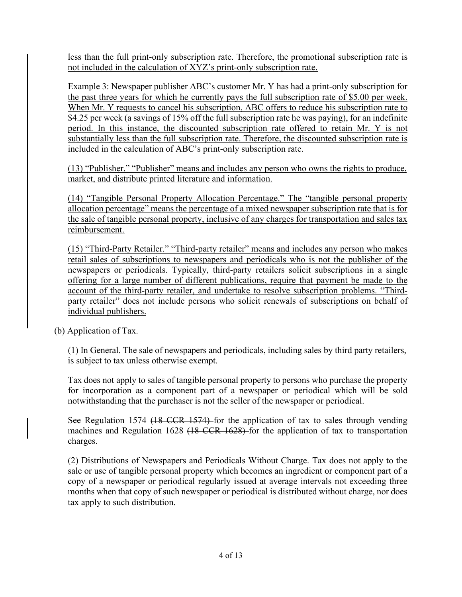less than the full print-only subscription rate. Therefore, the promotional subscription rate is not included in the calculation of XYZ's print-only subscription rate.

Example 3: Newspaper publisher ABC's customer Mr. Y has had a print-only subscription for the past three years for which he currently pays the full subscription rate of \$5.00 per week. When Mr. Y requests to cancel his subscription, ABC offers to reduce his subscription rate to \$4.25 per week (a savings of 15% off the full subscription rate he was paying), for an indefinite period. In this instance, the discounted subscription rate offered to retain Mr. Y is not substantially less than the full subscription rate. Therefore, the discounted subscription rate is included in the calculation of ABC's print-only subscription rate.

(13) "Publisher." "Publisher" means and includes any person who owns the rights to produce, market, and distribute printed literature and information.

(14) "Tangible Personal Property Allocation Percentage." The "tangible personal property allocation percentage" means the percentage of a mixed newspaper subscription rate that is for the sale of tangible personal property, inclusive of any charges for transportation and sales tax reimbursement.

(15) "Third-Party Retailer." "Third-party retailer" means and includes any person who makes retail sales of subscriptions to newspapers and periodicals who is not the publisher of the newspapers or periodicals. Typically, third-party retailers solicit subscriptions in a single offering for a large number of different publications, require that payment be made to the account of the third-party retailer, and undertake to resolve subscription problems. "Thirdparty retailer" does not include persons who solicit renewals of subscriptions on behalf of individual publishers.

(b) Application of Tax.

(1) In General. The sale of newspapers and periodicals, including sales by third party retailers, is subject to tax unless otherwise exempt.

Tax does not apply to sales of tangible personal property to persons who purchase the property for incorporation as a component part of a newspaper or periodical which will be sold notwithstanding that the purchaser is not the seller of the newspaper or periodical.

See Regulation 1574 (18 CCR 1574) for the application of tax to sales through vending machines and Regulation 1628 (18 CCR 1628) for the application of tax to transportation charges.

(2) Distributions of Newspapers and Periodicals Without Charge. Tax does not apply to the sale or use of tangible personal property which becomes an ingredient or component part of a copy of a newspaper or periodical regularly issued at average intervals not exceeding three months when that copy of such newspaper or periodical is distributed without charge, nor does tax apply to such distribution.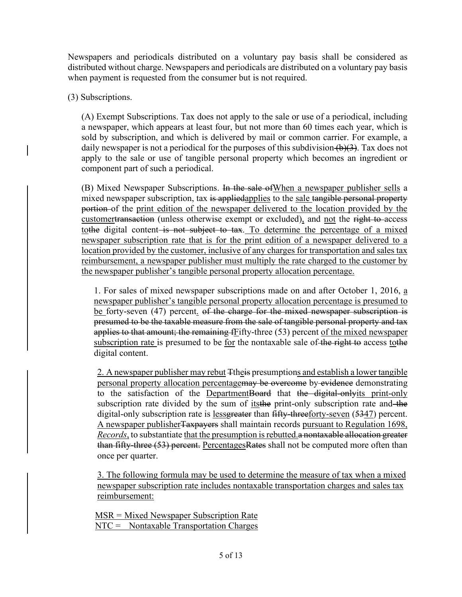Newspapers and periodicals distributed on a voluntary pay basis shall be considered as distributed without charge. Newspapers and periodicals are distributed on a voluntary pay basis when payment is requested from the consumer but is not required.

(3) Subscriptions.

(A) Exempt Subscriptions. Tax does not apply to the sale or use of a periodical, including a newspaper, which appears at least four, but not more than 60 times each year, which is sold by subscription, and which is delivered by mail or common carrier. For example, a daily newspaper is not a periodical for the purposes of this subdivision  $(b)(3)$ . Tax does not apply to the sale or use of tangible personal property which becomes an ingredient or component part of such a periodical.

(B) Mixed Newspaper Subscriptions. In the sale ofWhen a newspaper publisher sells a mixed newspaper subscription, tax is appliedapplies to the sale tangible personal property portion of the print edition of the newspaper delivered to the location provided by the customertransaction (unless otherwise exempt or excluded), and not the right to access tothe digital content is not subject to tax. To determine the percentage of a mixed newspaper subscription rate that is for the print edition of a newspaper delivered to a location provided by the customer, inclusive of any charges for transportation and sales tax reimbursement, a newspaper publisher must multiply the rate charged to the customer by the newspaper publisher's tangible personal property allocation percentage.

1. For sales of mixed newspaper subscriptions made on and after October 1, 2016, a newspaper publisher's tangible personal property allocation percentage is presumed to be forty-seven (47) percent. of the charge for the mixed newspaper subscription is presumed to be the taxable measure from the sale of tangible personal property and tax applies to that amount; the remaining fFifty-three (53) percent of the mixed newspaper subscription rate is presumed to be <u>for</u> the nontaxable sale of the right to access to the digital content.

2. A newspaper publisher may rebut Ttheis presumptions and establish a lower tangible personal property allocation percentagemay be overcome by evidence demonstrating to the satisfaction of the DepartmentBoard that the digital-onlyits print-only subscription rate divided by the sum of its the print-only subscription rate and the digital-only subscription rate is lessgreater than fifty-threeforty-seven (5347) percent. A newspaper publisher Taxpayers shall maintain records pursuant to Regulation 1698, *Records*, to substantiate that the presumption is rebutted. a nontaxable allocation greater than fifty-three (53) percent. PercentagesRates shall not be computed more often than once per quarter.

3. The following formula may be used to determine the measure of tax when a mixed newspaper subscription rate includes nontaxable transportation charges and sales tax reimbursement:

MSR = Mixed Newspaper Subscription Rate NTC = Nontaxable Transportation Charges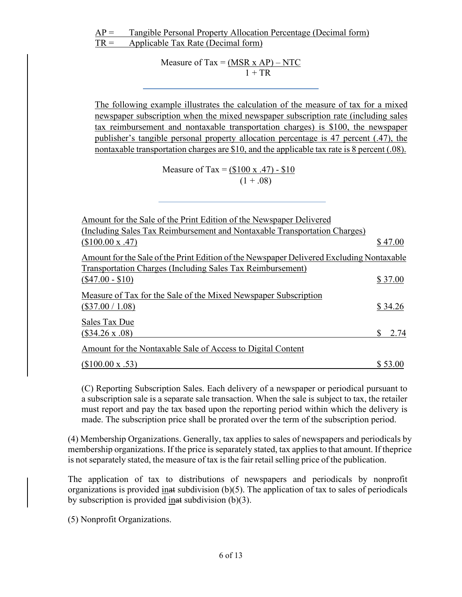Measure of Tax =  $(MSR \times AP) - NTC$  $1 + TR$ 

The following example illustrates the calculation of the measure of tax for a mixed newspaper subscription when the mixed newspaper subscription rate (including sales tax reimbursement and nontaxable transportation charges) is \$100, the newspaper publisher's tangible personal property allocation percentage is 47 percent (.47), the nontaxable transportation charges are \$10, and the applicable tax rate is 8 percent (.08).

> Measure of Tax =  $(\$100 \text{ x } .47) - \$10$  $(1+.08)$

| Amount for the Sale of the Print Edition of the Newspaper Delivered                           |         |      |
|-----------------------------------------------------------------------------------------------|---------|------|
| (Including Sales Tax Reimbursement and Nontaxable Transportation Charges)<br>(\$100.00 x .47) | \$47.00 |      |
|                                                                                               |         |      |
| Amount for the Sale of the Print Edition of the Newspaper Delivered Excluding Nontaxable      |         |      |
| <b>Transportation Charges (Including Sales Tax Reimbursement)</b>                             |         |      |
| $(\$47.00 - \$10)$                                                                            | \$37.00 |      |
| Measure of Tax for the Sale of the Mixed Newspaper Subscription                               |         |      |
| $(\$37.00 / 1.08)$                                                                            | \$34.26 |      |
| <b>Sales Tax Due</b>                                                                          |         |      |
| $($34.26 \times .08)$                                                                         |         | 2.74 |
| Amount for the Nontaxable Sale of Access to Digital Content                                   |         |      |
| $($100.00 \times .53)$                                                                        | \$53.00 |      |

(C) Reporting Subscription Sales. Each delivery of a newspaper or periodical pursuant to a subscription sale is a separate sale transaction. When the sale is subject to tax, the retailer must report and pay the tax based upon the reporting period within which the delivery is made. The subscription price shall be prorated over the term of the subscription period.

(4) Membership Organizations. Generally, tax applies to sales of newspapers and periodicals by membership organizations. If the price is separately stated, tax applies to that amount. If the price is not separately stated, the measure of tax is the fair retail selling price of the publication.

The application of tax to distributions of newspapers and periodicals by nonprofit organizations is provided in at subdivision  $(b)(5)$ . The application of tax to sales of periodicals by subscription is provided  $\frac{\text{inat}}{\text{inat}}$  subdivision (b)(3).

(5) Nonprofit Organizations.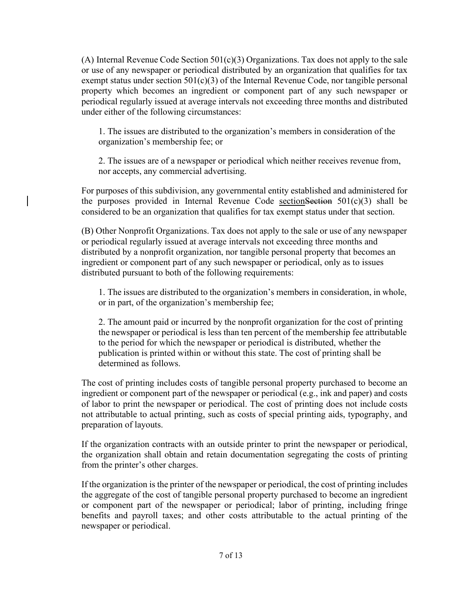(A) Internal Revenue Code Section  $501(c)(3)$  Organizations. Tax does not apply to the sale or use of any newspaper or periodical distributed by an organization that qualifies for tax exempt status under section  $501(c)(3)$  of the Internal Revenue Code, nor tangible personal property which becomes an ingredient or component part of any such newspaper or periodical regularly issued at average intervals not exceeding three months and distributed under either of the following circumstances:

1. The issues are distributed to the organization's members in consideration of the organization's membership fee; or

2. The issues are of a newspaper or periodical which neither receives revenue from, nor accepts, any commercial advertising.

For purposes of this subdivision, any governmental entity established and administered for the purposes provided in Internal Revenue Code section Section  $501(c)(3)$  shall be considered to be an organization that qualifies for tax exempt status under that section.

(B) Other Nonprofit Organizations. Tax does not apply to the sale or use of any newspaper or periodical regularly issued at average intervals not exceeding three months and distributed by a nonprofit organization, nor tangible personal property that becomes an ingredient or component part of any such newspaper or periodical, only as to issues distributed pursuant to both of the following requirements:

1. The issues are distributed to the organization's members in consideration, in whole, or in part, of the organization's membership fee;

2. The amount paid or incurred by the nonprofit organization for the cost of printing the newspaper or periodical is less than ten percent of the membership fee attributable to the period for which the newspaper or periodical is distributed, whether the publication is printed within or without this state. The cost of printing shall be determined as follows.

The cost of printing includes costs of tangible personal property purchased to become an ingredient or component part of the newspaper or periodical (e.g., ink and paper) and costs of labor to print the newspaper or periodical. The cost of printing does not include costs not attributable to actual printing, such as costs of special printing aids, typography, and preparation of layouts.

If the organization contracts with an outside printer to print the newspaper or periodical, the organization shall obtain and retain documentation segregating the costs of printing from the printer's other charges.

If the organization is the printer of the newspaper or periodical, the cost of printing includes the aggregate of the cost of tangible personal property purchased to become an ingredient or component part of the newspaper or periodical; labor of printing, including fringe benefits and payroll taxes; and other costs attributable to the actual printing of the newspaper or periodical.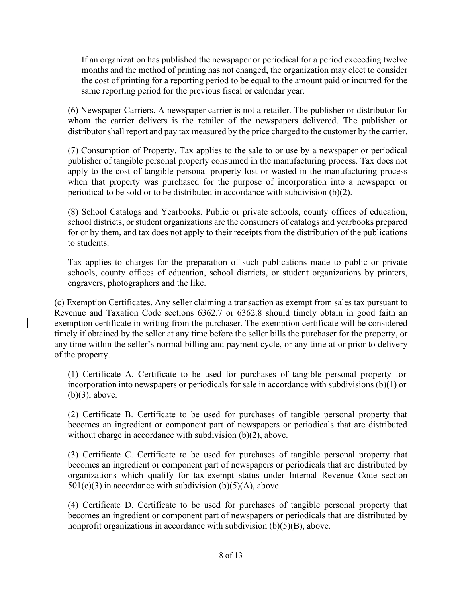If an organization has published the newspaper or periodical for a period exceeding twelve months and the method of printing has not changed, the organization may elect to consider the cost of printing for a reporting period to be equal to the amount paid or incurred for the same reporting period for the previous fiscal or calendar year.

(6) Newspaper Carriers. A newspaper carrier is not a retailer. The publisher or distributor for whom the carrier delivers is the retailer of the newspapers delivered. The publisher or distributor shall report and pay tax measured by the price charged to the customer by the carrier.

(7) Consumption of Property. Tax applies to the sale to or use by a newspaper or periodical publisher of tangible personal property consumed in the manufacturing process. Tax does not apply to the cost of tangible personal property lost or wasted in the manufacturing process when that property was purchased for the purpose of incorporation into a newspaper or periodical to be sold or to be distributed in accordance with subdivision (b)(2).

(8) School Catalogs and Yearbooks. Public or private schools, county offices of education, school districts, or student organizations are the consumers of catalogs and yearbooks prepared for or by them, and tax does not apply to their receipts from the distribution of the publications to students.

Tax applies to charges for the preparation of such publications made to public or private schools, county offices of education, school districts, or student organizations by printers, engravers, photographers and the like.

(c) Exemption Certificates. Any seller claiming a transaction as exempt from sales tax pursuant to Revenue and Taxation Code sections 6362.7 or 6362.8 should timely obtain in good faith an exemption certificate in writing from the purchaser. The exemption certificate will be considered timely if obtained by the seller at any time before the seller bills the purchaser for the property, or any time within the seller's normal billing and payment cycle, or any time at or prior to delivery of the property.

(1) Certificate A. Certificate to be used for purchases of tangible personal property for incorporation into newspapers or periodicals for sale in accordance with subdivisions (b)(1) or (b)(3), above.

(2) Certificate B. Certificate to be used for purchases of tangible personal property that becomes an ingredient or component part of newspapers or periodicals that are distributed without charge in accordance with subdivision (b)(2), above.

(3) Certificate C. Certificate to be used for purchases of tangible personal property that becomes an ingredient or component part of newspapers or periodicals that are distributed by organizations which qualify for tax-exempt status under Internal Revenue Code section  $501(c)(3)$  in accordance with subdivision (b)(5)(A), above.

(4) Certificate D. Certificate to be used for purchases of tangible personal property that becomes an ingredient or component part of newspapers or periodicals that are distributed by nonprofit organizations in accordance with subdivision  $(b)(5)(B)$ , above.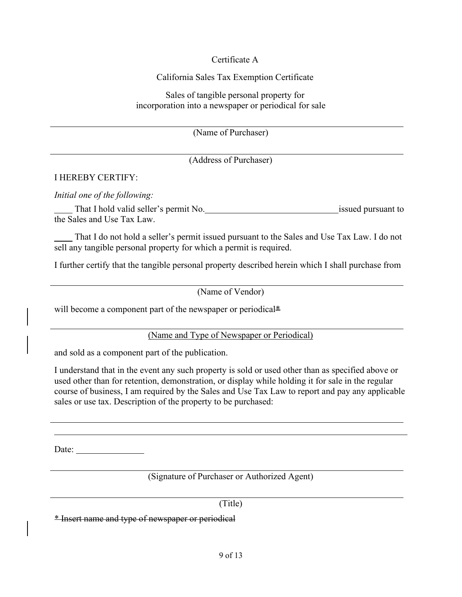## Certificate A

#### California Sales Tax Exemption Certificate

Sales of tangible personal property for incorporation into a newspaper or periodical for sale

(Name of Purchaser)

(Address of Purchaser)

#### I HEREBY CERTIFY:

*Initial one of the following:*

That I hold valid seller's permit No. issued pursuant to issued pursuant to the Sales and Use Tax Law.

 That I do not hold a seller's permit issued pursuant to the Sales and Use Tax Law. I do not sell any tangible personal property for which a permit is required.

I further certify that the tangible personal property described herein which I shall purchase from

(Name of Vendor)

will become a component part of the newspaper or periodical\*

(Name and Type of Newspaper or Periodical)

and sold as a component part of the publication.

I understand that in the event any such property is sold or used other than as specified above or used other than for retention, demonstration, or display while holding it for sale in the regular course of business, I am required by the Sales and Use Tax Law to report and pay any applicable sales or use tax. Description of the property to be purchased:

Date:

(Signature of Purchaser or Authorized Agent)

(Title)

\* Insert name and type of newspaper or periodical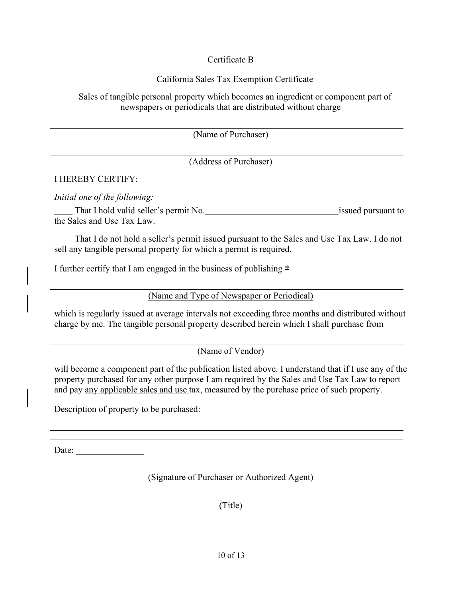## Certificate B

## California Sales Tax Exemption Certificate

Sales of tangible personal property which becomes an ingredient or component part of newspapers or periodicals that are distributed without charge

(Name of Purchaser)

(Address of Purchaser)

## I HEREBY CERTIFY:

*Initial one of the following:*

That I hold valid seller's permit No. issued pursuant to issued pursuant to the Sales and Use Tax Law.

 That I do not hold a seller's permit issued pursuant to the Sales and Use Tax Law. I do not sell any tangible personal property for which a permit is required.

I further certify that I am engaged in the business of publishing  $*$ 

(Name and Type of Newspaper or Periodical)

which is regularly issued at average intervals not exceeding three months and distributed without charge by me. The tangible personal property described herein which I shall purchase from

(Name of Vendor)

will become a component part of the publication listed above. I understand that if I use any of the property purchased for any other purpose I am required by the Sales and Use Tax Law to report and pay any applicable sales and use tax, measured by the purchase price of such property.

Description of property to be purchased:

Date:

(Signature of Purchaser or Authorized Agent)

(Title)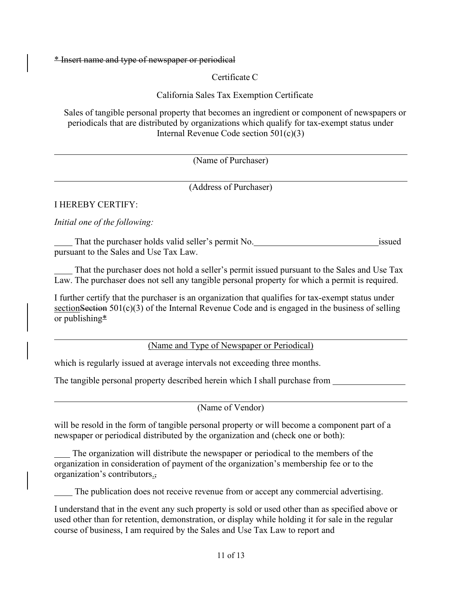\* Insert name and type of newspaper or periodical

Certificate C

California Sales Tax Exemption Certificate

Sales of tangible personal property that becomes an ingredient or component of newspapers or periodicals that are distributed by organizations which qualify for tax-exempt status under Internal Revenue Code section 501(c)(3)

(Name of Purchaser)

(Address of Purchaser)

## I HEREBY CERTIFY:

*Initial one of the following:*

That the purchaser holds valid seller's permit No. issued pursuant to the Sales and Use Tax Law.

 That the purchaser does not hold a seller's permit issued pursuant to the Sales and Use Tax Law. The purchaser does not sell any tangible personal property for which a permit is required.

I further certify that the purchaser is an organization that qualifies for tax-exempt status under section Section  $501(c)(3)$  of the Internal Revenue Code and is engaged in the business of selling or publishing\*

(Name and Type of Newspaper or Periodical)

which is regularly issued at average intervals not exceeding three months.

The tangible personal property described herein which I shall purchase from

(Name of Vendor)

will be resold in the form of tangible personal property or will become a component part of a newspaper or periodical distributed by the organization and (check one or both):

 The organization will distribute the newspaper or periodical to the members of the organization in consideration of payment of the organization's membership fee or to the organization's contributors.,

The publication does not receive revenue from or accept any commercial advertising.

I understand that in the event any such property is sold or used other than as specified above or used other than for retention, demonstration, or display while holding it for sale in the regular course of business, I am required by the Sales and Use Tax Law to report and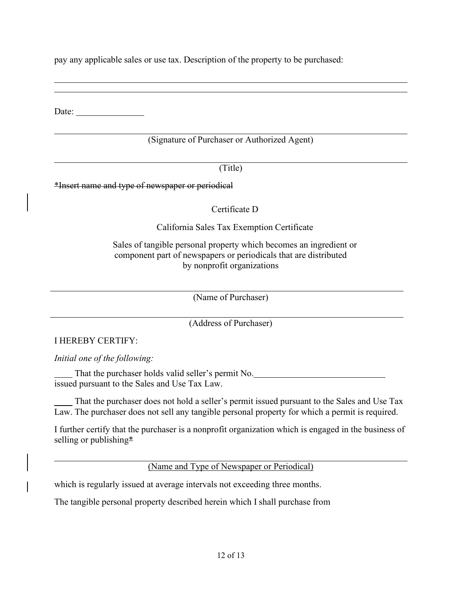pay any applicable sales or use tax. Description of the property to be purchased:

Date:

## (Signature of Purchaser or Authorized Agent)

(Title)

\*Insert name and type of newspaper or periodical

Certificate D

California Sales Tax Exemption Certificate

Sales of tangible personal property which becomes an ingredient or component part of newspapers or periodicals that are distributed by nonprofit organizations

(Name of Purchaser)

(Address of Purchaser)

I HEREBY CERTIFY:

*Initial one of the following:*

 That the purchaser holds valid seller's permit No. issued pursuant to the Sales and Use Tax Law.

 That the purchaser does not hold a seller's permit issued pursuant to the Sales and Use Tax Law. The purchaser does not sell any tangible personal property for which a permit is required.

I further certify that the purchaser is a nonprofit organization which is engaged in the business of selling or publishing\*

(Name and Type of Newspaper or Periodical)

which is regularly issued at average intervals not exceeding three months.

The tangible personal property described herein which I shall purchase from